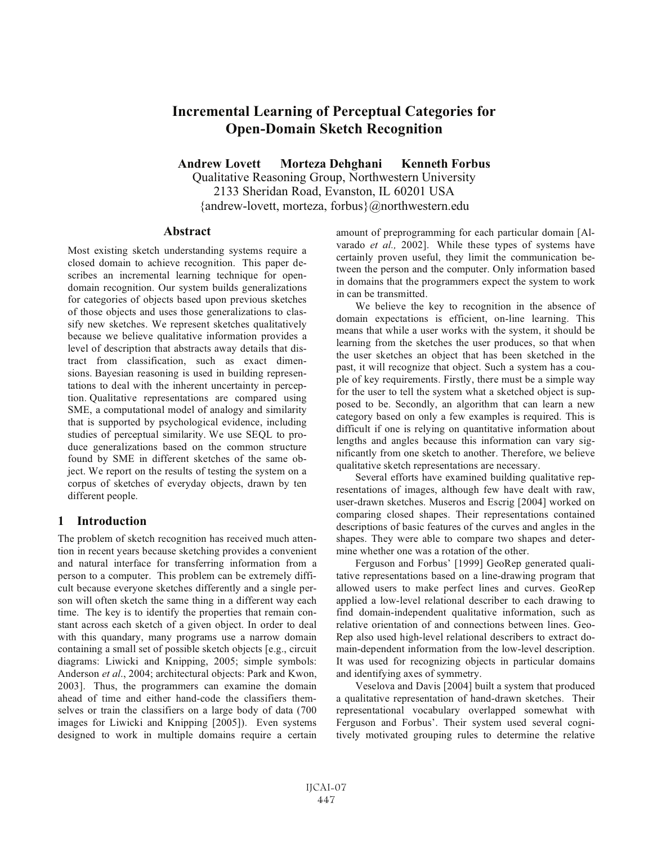# **Incremental Learning of Perceptual Categories for Open-Domain Sketch Recognition**

**Andrew Lovett Morteza Dehghani Kenneth Forbus** Qualitative Reasoning Group, Northwestern University 2133 Sheridan Road, Evanston, IL 60201 USA {andrew-lovett, morteza, forbus}@northwestern.edu

#### **Abstract**

Most existing sketch understanding systems require a closed domain to achieve recognition. This paper describes an incremental learning technique for opendomain recognition. Our system builds generalizations for categories of objects based upon previous sketches of those objects and uses those generalizations to classify new sketches. We represent sketches qualitatively because we believe qualitative information provides a level of description that abstracts away details that distract from classification, such as exact dimensions. Bayesian reasoning is used in building representations to deal with the inherent uncertainty in perception. Qualitative representations are compared using SME, a computational model of analogy and similarity that is supported by psychological evidence, including studies of perceptual similarity. We use SEQL to produce generalizations based on the common structure found by SME in different sketches of the same object. We report on the results of testing the system on a corpus of sketches of everyday objects, drawn by ten different people.

### **1 Introduction**

The problem of sketch recognition has received much attention in recent years because sketching provides a convenient and natural interface for transferring information from a person to a computer. This problem can be extremely difficult because everyone sketches differently and a single person will often sketch the same thing in a different way each time. The key is to identify the properties that remain constant across each sketch of a given object. In order to deal with this quandary, many programs use a narrow domain containing a small set of possible sketch objects [e.g., circuit diagrams: Liwicki and Knipping, 2005; simple symbols: Anderson *et al*., 2004; architectural objects: Park and Kwon, 2003]. Thus, the programmers can examine the domain ahead of time and either hand-code the classifiers themselves or train the classifiers on a large body of data (700 images for Liwicki and Knipping [2005]). Even systems designed to work in multiple domains require a certain amount of preprogramming for each particular domain [Alvarado *et al.,* 2002]. While these types of systems have certainly proven useful, they limit the communication between the person and the computer. Only information based in domains that the programmers expect the system to work in can be transmitted.

We believe the key to recognition in the absence of domain expectations is efficient, on-line learning. This means that while a user works with the system, it should be learning from the sketches the user produces, so that when the user sketches an object that has been sketched in the past, it will recognize that object. Such a system has a couple of key requirements. Firstly, there must be a simple way for the user to tell the system what a sketched object is supposed to be. Secondly, an algorithm that can learn a new category based on only a few examples is required. This is difficult if one is relying on quantitative information about lengths and angles because this information can vary significantly from one sketch to another. Therefore, we believe qualitative sketch representations are necessary.

Several efforts have examined building qualitative representations of images, although few have dealt with raw, user-drawn sketches. Museros and Escrig [2004] worked on comparing closed shapes. Their representations contained descriptions of basic features of the curves and angles in the shapes. They were able to compare two shapes and determine whether one was a rotation of the other.

Ferguson and Forbus' [1999] GeoRep generated qualitative representations based on a line-drawing program that allowed users to make perfect lines and curves. GeoRep applied a low-level relational describer to each drawing to find domain-independent qualitative information, such as relative orientation of and connections between lines. Geo-Rep also used high-level relational describers to extract domain-dependent information from the low-level description. It was used for recognizing objects in particular domains and identifying axes of symmetry.

Veselova and Davis [2004] built a system that produced a qualitative representation of hand-drawn sketches. Their representational vocabulary overlapped somewhat with Ferguson and Forbus'. Their system used several cognitively motivated grouping rules to determine the relative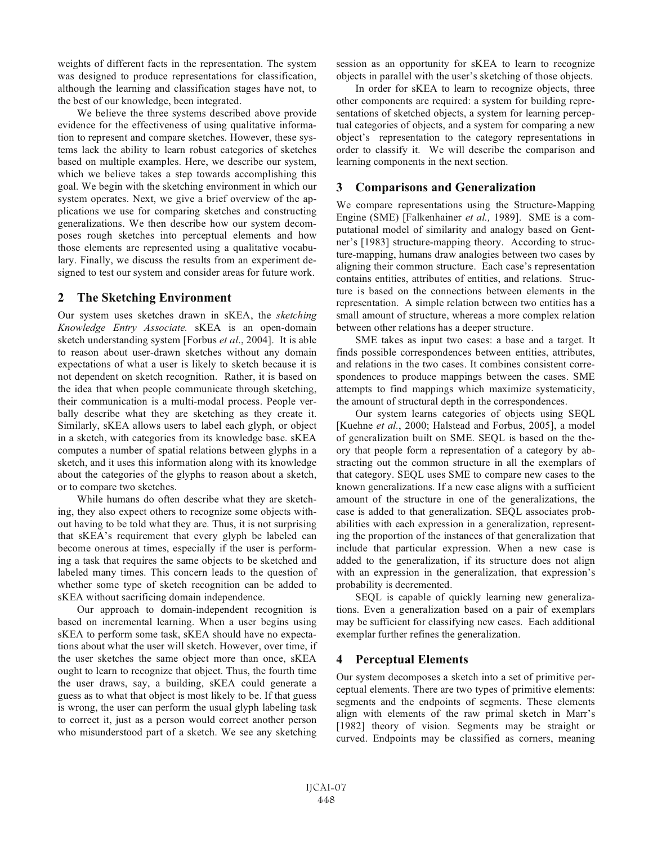weights of different facts in the representation. The system was designed to produce representations for classification, although the learning and classification stages have not, to the best of our knowledge, been integrated.

We believe the three systems described above provide evidence for the effectiveness of using qualitative information to represent and compare sketches. However, these systems lack the ability to learn robust categories of sketches based on multiple examples. Here, we describe our system, which we believe takes a step towards accomplishing this goal. We begin with the sketching environment in which our system operates. Next, we give a brief overview of the applications we use for comparing sketches and constructing generalizations. We then describe how our system decomposes rough sketches into perceptual elements and how those elements are represented using a qualitative vocabulary. Finally, we discuss the results from an experiment designed to test our system and consider areas for future work.

### **2 The Sketching Environment**

Our system uses sketches drawn in sKEA, the *sketching Knowledge Entry Associate.* sKEA is an open-domain sketch understanding system [Forbus *et al*., 2004]. It is able to reason about user-drawn sketches without any domain expectations of what a user is likely to sketch because it is not dependent on sketch recognition. Rather, it is based on the idea that when people communicate through sketching, their communication is a multi-modal process. People verbally describe what they are sketching as they create it. Similarly, sKEA allows users to label each glyph, or object in a sketch, with categories from its knowledge base. sKEA computes a number of spatial relations between glyphs in a sketch, and it uses this information along with its knowledge about the categories of the glyphs to reason about a sketch, or to compare two sketches.

While humans do often describe what they are sketching, they also expect others to recognize some objects without having to be told what they are. Thus, it is not surprising that sKEA's requirement that every glyph be labeled can become onerous at times, especially if the user is performing a task that requires the same objects to be sketched and labeled many times. This concern leads to the question of whether some type of sketch recognition can be added to sKEA without sacrificing domain independence.

Our approach to domain-independent recognition is based on incremental learning. When a user begins using sKEA to perform some task, sKEA should have no expectations about what the user will sketch. However, over time, if the user sketches the same object more than once, sKEA ought to learn to recognize that object. Thus, the fourth time the user draws, say, a building, sKEA could generate a guess as to what that object is most likely to be. If that guess is wrong, the user can perform the usual glyph labeling task to correct it, just as a person would correct another person who misunderstood part of a sketch. We see any sketching

session as an opportunity for sKEA to learn to recognize objects in parallel with the user's sketching of those objects.

In order for sKEA to learn to recognize objects, three other components are required: a system for building representations of sketched objects, a system for learning perceptual categories of objects, and a system for comparing a new object's representation to the category representations in order to classify it. We will describe the comparison and learning components in the next section.

## **3 Comparisons and Generalization**

We compare representations using the Structure-Mapping Engine (SME) [Falkenhainer *et al.,* 1989]. SME is a computational model of similarity and analogy based on Gentner's [1983] structure-mapping theory. According to structure-mapping, humans draw analogies between two cases by aligning their common structure. Each case's representation contains entities, attributes of entities, and relations. Structure is based on the connections between elements in the representation. A simple relation between two entities has a small amount of structure, whereas a more complex relation between other relations has a deeper structure.

SME takes as input two cases: a base and a target. It finds possible correspondences between entities, attributes, and relations in the two cases. It combines consistent correspondences to produce mappings between the cases. SME attempts to find mappings which maximize systematicity, the amount of structural depth in the correspondences.

Our system learns categories of objects using SEQL [Kuehne *et al.*, 2000; Halstead and Forbus, 2005], a model of generalization built on SME. SEQL is based on the theory that people form a representation of a category by abstracting out the common structure in all the exemplars of that category. SEQL uses SME to compare new cases to the known generalizations. If a new case aligns with a sufficient amount of the structure in one of the generalizations, the case is added to that generalization. SEQL associates probabilities with each expression in a generalization, representing the proportion of the instances of that generalization that include that particular expression. When a new case is added to the generalization, if its structure does not align with an expression in the generalization, that expression's probability is decremented.

SEQL is capable of quickly learning new generalizations. Even a generalization based on a pair of exemplars may be sufficient for classifying new cases. Each additional exemplar further refines the generalization.

## **4 Perceptual Elements**

Our system decomposes a sketch into a set of primitive perceptual elements. There are two types of primitive elements: segments and the endpoints of segments. These elements align with elements of the raw primal sketch in Marr's [1982] theory of vision. Segments may be straight or curved. Endpoints may be classified as corners, meaning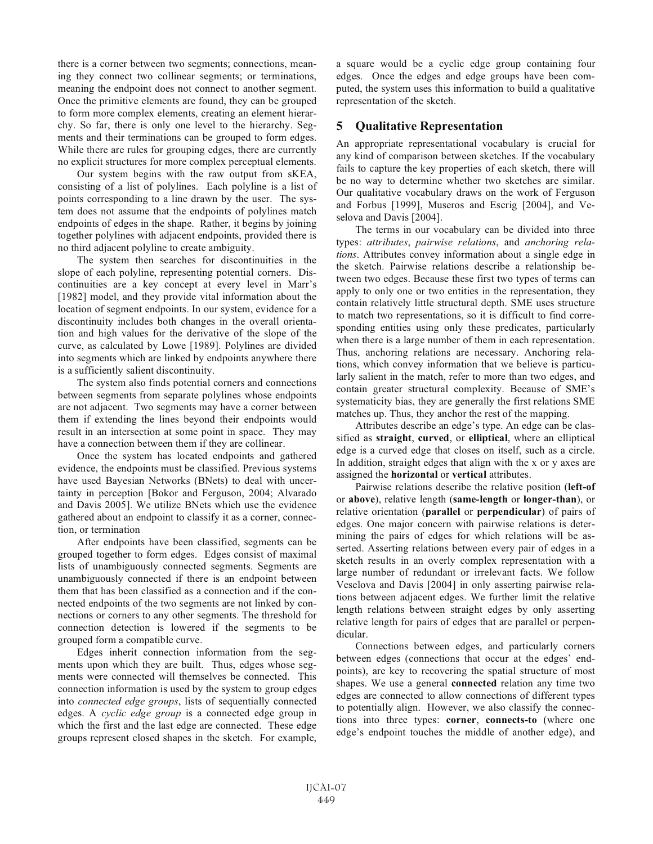there is a corner between two segments; connections, meaning they connect two collinear segments; or terminations, meaning the endpoint does not connect to another segment. Once the primitive elements are found, they can be grouped to form more complex elements, creating an element hierarchy. So far, there is only one level to the hierarchy. Segments and their terminations can be grouped to form edges. While there are rules for grouping edges, there are currently no explicit structures for more complex perceptual elements.

Our system begins with the raw output from sKEA, consisting of a list of polylines. Each polyline is a list of points corresponding to a line drawn by the user. The system does not assume that the endpoints of polylines match endpoints of edges in the shape. Rather, it begins by joining together polylines with adjacent endpoints, provided there is no third adjacent polyline to create ambiguity.

The system then searches for discontinuities in the slope of each polyline, representing potential corners. Discontinuities are a key concept at every level in Marr's [1982] model, and they provide vital information about the location of segment endpoints. In our system, evidence for a discontinuity includes both changes in the overall orientation and high values for the derivative of the slope of the curve, as calculated by Lowe [1989]. Polylines are divided into segments which are linked by endpoints anywhere there is a sufficiently salient discontinuity.

The system also finds potential corners and connections between segments from separate polylines whose endpoints are not adjacent. Two segments may have a corner between them if extending the lines beyond their endpoints would result in an intersection at some point in space. They may have a connection between them if they are collinear.

Once the system has located endpoints and gathered evidence, the endpoints must be classified. Previous systems have used Bayesian Networks (BNets) to deal with uncertainty in perception [Bokor and Ferguson, 2004; Alvarado and Davis 2005]. We utilize BNets which use the evidence gathered about an endpoint to classify it as a corner, connection, or termination

After endpoints have been classified, segments can be grouped together to form edges. Edges consist of maximal lists of unambiguously connected segments. Segments are unambiguously connected if there is an endpoint between them that has been classified as a connection and if the connected endpoints of the two segments are not linked by connections or corners to any other segments. The threshold for connection detection is lowered if the segments to be grouped form a compatible curve.

Edges inherit connection information from the segments upon which they are built. Thus, edges whose segments were connected will themselves be connected. This connection information is used by the system to group edges into *connected edge groups*, lists of sequentially connected edges. A *cyclic edge group* is a connected edge group in which the first and the last edge are connected. These edge groups represent closed shapes in the sketch. For example, a square would be a cyclic edge group containing four edges. Once the edges and edge groups have been computed, the system uses this information to build a qualitative representation of the sketch.

## **5 Qualitative Representation**

An appropriate representational vocabulary is crucial for any kind of comparison between sketches. If the vocabulary fails to capture the key properties of each sketch, there will be no way to determine whether two sketches are similar. Our qualitative vocabulary draws on the work of Ferguson and Forbus [1999], Museros and Escrig [2004], and Veselova and Davis [2004].

The terms in our vocabulary can be divided into three types: *attributes*, *pairwise relations*, and *anchoring relations*. Attributes convey information about a single edge in the sketch. Pairwise relations describe a relationship between two edges. Because these first two types of terms can apply to only one or two entities in the representation, they contain relatively little structural depth. SME uses structure to match two representations, so it is difficult to find corresponding entities using only these predicates, particularly when there is a large number of them in each representation. Thus, anchoring relations are necessary. Anchoring relations, which convey information that we believe is particularly salient in the match, refer to more than two edges, and contain greater structural complexity. Because of SME's systematicity bias, they are generally the first relations SME matches up. Thus, they anchor the rest of the mapping.

Attributes describe an edge's type. An edge can be classified as **straight**, **curved**, or **elliptical**, where an elliptical edge is a curved edge that closes on itself, such as a circle. In addition, straight edges that align with the x or y axes are assigned the **horizontal** or **vertical** attributes.

Pairwise relations describe the relative position (**left-of** or **above**), relative length (**same-length** or **longer-than**), or relative orientation (**parallel** or **perpendicular**) of pairs of edges. One major concern with pairwise relations is determining the pairs of edges for which relations will be asserted. Asserting relations between every pair of edges in a sketch results in an overly complex representation with a large number of redundant or irrelevant facts. We follow Veselova and Davis [2004] in only asserting pairwise relations between adjacent edges. We further limit the relative length relations between straight edges by only asserting relative length for pairs of edges that are parallel or perpendicular.

Connections between edges, and particularly corners between edges (connections that occur at the edges' endpoints), are key to recovering the spatial structure of most shapes. We use a general **connected** relation any time two edges are connected to allow connections of different types to potentially align. However, we also classify the connections into three types: **corner**, **connects-to** (where one edge's endpoint touches the middle of another edge), and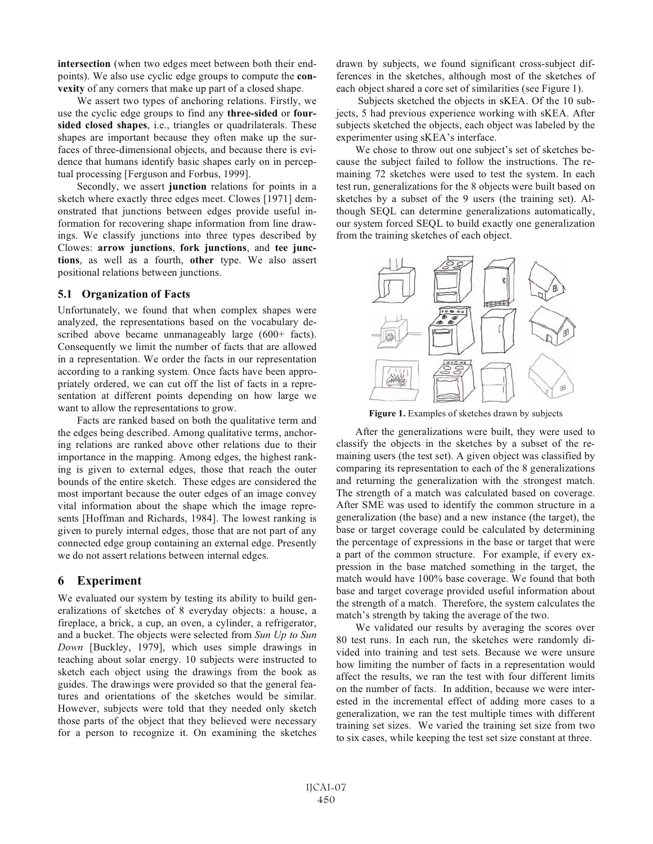**intersection** (when two edges meet between both their endpoints). We also use cyclic edge groups to compute the **convexity** of any corners that make up part of a closed shape.

We assert two types of anchoring relations. Firstly, we use the cyclic edge groups to find any **three-sided** or **foursided closed shapes**, i.e., triangles or quadrilaterals. These shapes are important because they often make up the surfaces of three-dimensional objects, and because there is evidence that humans identify basic shapes early on in perceptual processing [Ferguson and Forbus, 1999].

Secondly, we assert **junction** relations for points in a sketch where exactly three edges meet. Clowes [1971] demonstrated that junctions between edges provide useful information for recovering shape information from line drawings. We classify junctions into three types described by Clowes: **arrow junctions**, **fork junctions**, and **tee junctions**, as well as a fourth, **other** type. We also assert positional relations between junctions.

#### **5.1 Organization of Facts**

Unfortunately, we found that when complex shapes were analyzed, the representations based on the vocabulary described above became unmanageably large (600+ facts). Consequently we limit the number of facts that are allowed in a representation. We order the facts in our representation according to a ranking system. Once facts have been appropriately ordered, we can cut off the list of facts in a representation at different points depending on how large we want to allow the representations to grow.

Facts are ranked based on both the qualitative term and the edges being described. Among qualitative terms, anchoring relations are ranked above other relations due to their importance in the mapping. Among edges, the highest ranking is given to external edges, those that reach the outer bounds of the entire sketch. These edges are considered the most important because the outer edges of an image convey vital information about the shape which the image represents [Hoffman and Richards, 1984]. The lowest ranking is given to purely internal edges, those that are not part of any connected edge group containing an external edge. Presently we do not assert relations between internal edges.

### **6 Experiment**

We evaluated our system by testing its ability to build generalizations of sketches of 8 everyday objects: a house, a fireplace, a brick, a cup, an oven, a cylinder, a refrigerator, and a bucket. The objects were selected from *Sun Up to Sun Down* [Buckley, 1979], which uses simple drawings in teaching about solar energy. 10 subjects were instructed to sketch each object using the drawings from the book as guides. The drawings were provided so that the general features and orientations of the sketches would be similar. However, subjects were told that they needed only sketch those parts of the object that they believed were necessary for a person to recognize it. On examining the sketches

drawn by subjects, we found significant cross-subject differences in the sketches, although most of the sketches of each object shared a core set of similarities (see Figure 1).

Subjects sketched the objects in sKEA. Of the 10 subjects, 5 had previous experience working with sKEA. After subjects sketched the objects, each object was labeled by the experimenter using sKEA's interface.

We chose to throw out one subject's set of sketches because the subject failed to follow the instructions. The remaining 72 sketches were used to test the system. In each test run, generalizations for the 8 objects were built based on sketches by a subset of the 9 users (the training set). Although SEQL can determine generalizations automatically, our system forced SEQL to build exactly one generalization from the training sketches of each object.



**Figure 1.** Examples of sketches drawn by subjects

After the generalizations were built, they were used to classify the objects in the sketches by a subset of the remaining users (the test set). A given object was classified by comparing its representation to each of the 8 generalizations and returning the generalization with the strongest match. The strength of a match was calculated based on coverage. After SME was used to identify the common structure in a generalization (the base) and a new instance (the target), the base or target coverage could be calculated by determining the percentage of expressions in the base or target that were a part of the common structure. For example, if every expression in the base matched something in the target, the match would have 100% base coverage. We found that both base and target coverage provided useful information about the strength of a match. Therefore, the system calculates the match's strength by taking the average of the two.

We validated our results by averaging the scores over 80 test runs. In each run, the sketches were randomly divided into training and test sets. Because we were unsure how limiting the number of facts in a representation would affect the results, we ran the test with four different limits on the number of facts. In addition, because we were interested in the incremental effect of adding more cases to a generalization, we ran the test multiple times with different training set sizes. We varied the training set size from two to six cases, while keeping the test set size constant at three.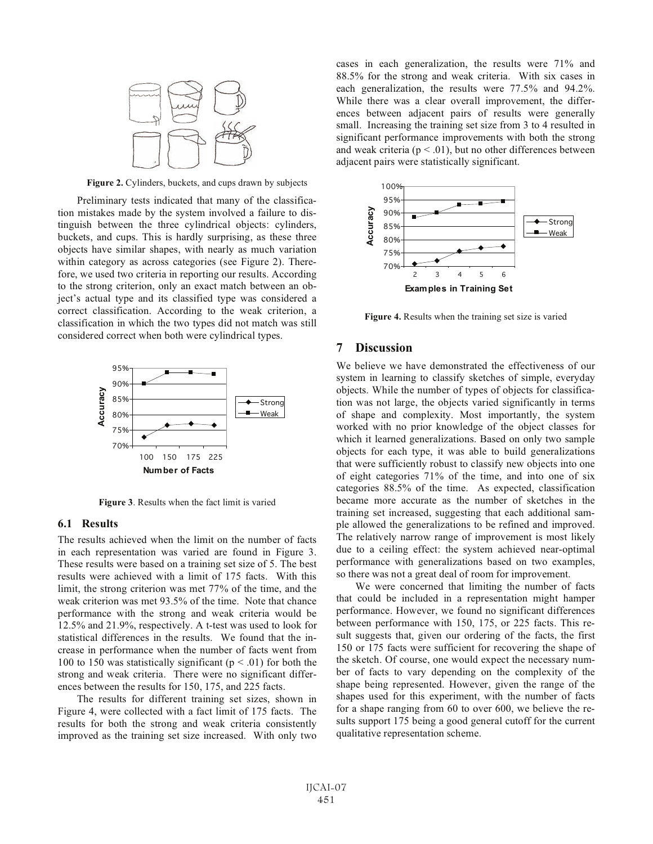

**Figure 2.** Cylinders, buckets, and cups drawn by subjects

Preliminary tests indicated that many of the classification mistakes made by the system involved a failure to distinguish between the three cylindrical objects: cylinders, buckets, and cups. This is hardly surprising, as these three objects have similar shapes, with nearly as much variation within category as across categories (see Figure 2). Therefore, we used two criteria in reporting our results. According to the strong criterion, only an exact match between an object's actual type and its classified type was considered a correct classification. According to the weak criterion, a classification in which the two types did not match was still considered correct when both were cylindrical types.



**Figure 3**. Results when the fact limit is varied

#### **6.1 Results**

The results achieved when the limit on the number of facts in each representation was varied are found in Figure 3. These results were based on a training set size of 5. The best results were achieved with a limit of 175 facts. With this limit, the strong criterion was met 77% of the time, and the weak criterion was met 93.5% of the time. Note that chance performance with the strong and weak criteria would be 12.5% and 21.9%, respectively. A t-test was used to look for statistical differences in the results. We found that the increase in performance when the number of facts went from 100 to 150 was statistically significant ( $p < .01$ ) for both the strong and weak criteria. There were no significant differences between the results for 150, 175, and 225 facts.

The results for different training set sizes, shown in Figure 4, were collected with a fact limit of 175 facts. The results for both the strong and weak criteria consistently improved as the training set size increased. With only two cases in each generalization, the results were 71% and 88.5% for the strong and weak criteria. With six cases in each generalization, the results were 77.5% and 94.2%. While there was a clear overall improvement, the differences between adjacent pairs of results were generally small. Increasing the training set size from 3 to 4 resulted in significant performance improvements with both the strong and weak criteria ( $p < .01$ ), but no other differences between adjacent pairs were statistically significant.



**Figure 4.** Results when the training set size is varied

### **7 Discussion**

We believe we have demonstrated the effectiveness of our system in learning to classify sketches of simple, everyday objects. While the number of types of objects for classification was not large, the objects varied significantly in terms of shape and complexity. Most importantly, the system worked with no prior knowledge of the object classes for which it learned generalizations. Based on only two sample objects for each type, it was able to build generalizations that were sufficiently robust to classify new objects into one of eight categories 71% of the time, and into one of six categories 88.5% of the time. As expected, classification became more accurate as the number of sketches in the training set increased, suggesting that each additional sample allowed the generalizations to be refined and improved. The relatively narrow range of improvement is most likely due to a ceiling effect: the system achieved near-optimal performance with generalizations based on two examples, so there was not a great deal of room for improvement.

We were concerned that limiting the number of facts that could be included in a representation might hamper performance. However, we found no significant differences between performance with 150, 175, or 225 facts. This result suggests that, given our ordering of the facts, the first 150 or 175 facts were sufficient for recovering the shape of the sketch. Of course, one would expect the necessary number of facts to vary depending on the complexity of the shape being represented. However, given the range of the shapes used for this experiment, with the number of facts for a shape ranging from 60 to over 600, we believe the results support 175 being a good general cutoff for the current qualitative representation scheme.